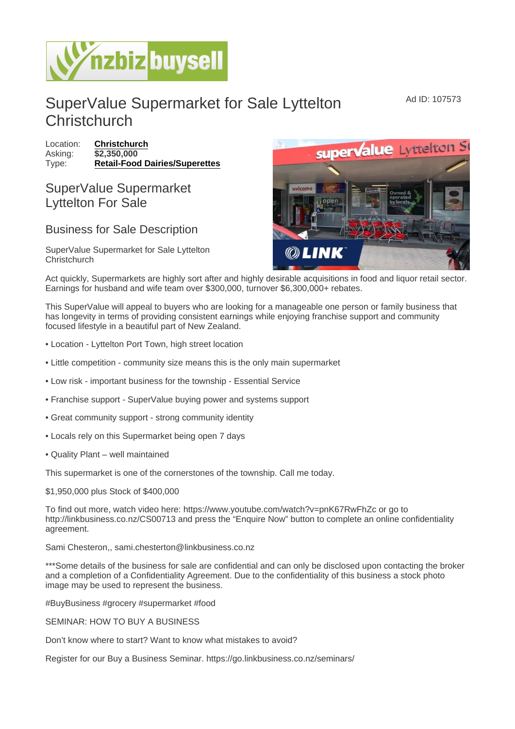## SuperValue Supermarket for Sale Lyttelton **Christchurch**

Location: [Christchurch](https://www.nzbizbuysell.co.nz/businesses-for-sale/location/Christchurch) Asking:  $\sqrt{32,350,000}$ Type: [Retail-Food Dairies/Superettes](https://www.nzbizbuysell.co.nz/businesses-for-sale/Retail-Food-Dairies--Superettes/New-Zealand)

## SuperValue Supermarket Lyttelton For Sale

## Business for Sale Description

SuperValue Supermarket for Sale Lyttelton **Christchurch** 

Act quickly, Supermarkets are highly sort after and highly desirable acquisitions in food and liquor retail sector. Earnings for husband and wife team over \$300,000, turnover \$6,300,000+ rebates.

This SuperValue will appeal to buyers who are looking for a manageable one person or family business that has longevity in terms of providing consistent earnings while enjoying franchise support and community focused lifestyle in a beautiful part of New Zealand.

- Location Lyttelton Port Town, high street location
- Little competition community size means this is the only main supermarket
- Low risk important business for the township Essential Service
- Franchise support SuperValue buying power and systems support
- Great community support strong community identity
- Locals rely on this Supermarket being open 7 days
- Quality Plant well maintained

This supermarket is one of the cornerstones of the township. Call me today.

## \$1,950,000 plus Stock of \$400,000

To find out more, watch video here: https://www.youtube.com/watch?v=pnK67RwFhZc or go to http://linkbusiness.co.nz/CS00713 and press the "Enquire Now" button to complete an online confidentiality agreement.

Sami Chesteron,, sami.chesterton@linkbusiness.co.nz

\*\*\*Some details of the business for sale are confidential and can only be disclosed upon contacting the broker and a completion of a Confidentiality Agreement. Due to the confidentiality of this business a stock photo image may be used to represent the business.

#BuyBusiness #grocery #supermarket #food

SEMINAR: HOW TO BUY A BUSINESS

Don't know where to start? Want to know what mistakes to avoid?

Register for our Buy a Business Seminar. https://go.linkbusiness.co.nz/seminars/